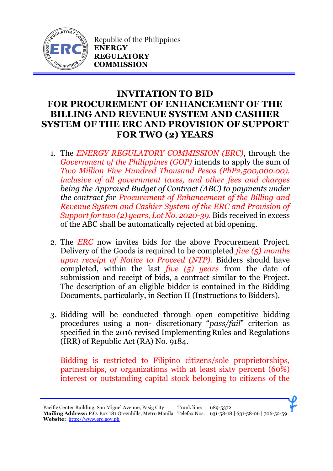

Republic of the Philippines **ENERGY REGULATORY COMMISSION**

## **INVITATION TO BID FOR PROCUREMENT OF ENHANCEMENT OF THE BILLING AND REVENUE SYSTEM AND CASHIER SYSTEM OF THE ERC AND PROVISION OF SUPPORT FOR TWO (2) YEARS**

- 1. The *ENERGY REGULATORY COMMISSION (ERC)*, through the *Government of the Philippines (GOP)* intends to apply the sum of *Two Million Five Hundred Thousand Pesos (PhP2,500,000.00), inclusive of all government taxes, and other fees and charges being the Approved Budget of Contract (ABC) to payments under the contract for Procurement of Enhancement of the Billing and Revenue System and Cashier System of the ERC and Provision of Support for two (2) years, Lot No. 2020-39.* Bids received in excess of the ABC shall be automatically rejected at bid opening.
- 2. The *ERC* now invites bids for the above Procurement Project. Delivery of the Goods is required to be completed *five (5) months upon receipt of Notice to Proceed (NTP).* Bidders should have completed, within the last *five (5) years* from the date of submission and receipt of bids, a contract similar to the Project. The description of an eligible bidder is contained in the Bidding Documents, particularly, in Section II (Instructions to Bidders).
- 3. Bidding will be conducted through open competitive bidding procedures using a non- discretionary "*pass/fail*" criterion as specified in the 2016 revised Implementing Rules and Regulations (IRR) of Republic Act (RA) No. 9184.

Bidding is restricted to Filipino citizens/sole proprietorships, partnerships, or organizations with at least sixty percent (60%) interest or outstanding capital stock belonging to citizens of the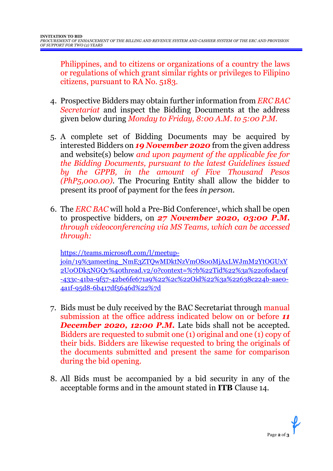Philippines, and to citizens or organizations of a country the laws or regulations of which grant similar rights or privileges to Filipino citizens, pursuant to RA No. 5183.

- 4. Prospective Bidders may obtain further information from *ERC BAC Secretariat* and inspect the Bidding Documents at the address given below during *Monday to Friday, 8:00 A.M. to 5:00 P.M*.
- 5. A complete set of Bidding Documents may be acquired by interested Bidders on *19 November 2020* from the given address and website(s) below *and upon payment of the applicable fee for the Bidding Documents, pursuant to the latest Guidelines issued by the GPPB, in the amount of Five Thousand Pesos (PhP5,000.00)*. The Procuring Entity shall allow the bidder to present its proof of payment for the fees *in person.*
- 6. The *ERC BAC* will hold a Pre-Bid Conference<sup>1</sup> , which shall be open to prospective bidders, on *27 November 2020, 03:00 P.M. through videoconferencing via MS Teams, which can be accessed through:*

[https://teams.microsoft.com/l/meetup](https://teams.microsoft.com/l/meetup-join/19%3ameeting_NmE3ZTQwMDktNzVmOS00MjAxLWJmM2YtOGUxY2U0ODk5NGQy%40thread.v2/0?context=%7b%22Tid%22%3a%220f0dac9f-433c-41ba-9f57-42be6fe671a9%22%2c%22Oid%22%3a%22638c224b-aae0-4a1f-95d8-6b417df5646d%22%7d)[join/19%3ameeting\\_NmE3ZTQwMDktNzVmOS00MjAxLWJmM2YtOGUxY](https://teams.microsoft.com/l/meetup-join/19%3ameeting_NmE3ZTQwMDktNzVmOS00MjAxLWJmM2YtOGUxY2U0ODk5NGQy%40thread.v2/0?context=%7b%22Tid%22%3a%220f0dac9f-433c-41ba-9f57-42be6fe671a9%22%2c%22Oid%22%3a%22638c224b-aae0-4a1f-95d8-6b417df5646d%22%7d) [2U0ODk5NGQy%40thread.v2/0?context=%7b%22Tid%22%3a%220f0dac9f](https://teams.microsoft.com/l/meetup-join/19%3ameeting_NmE3ZTQwMDktNzVmOS00MjAxLWJmM2YtOGUxY2U0ODk5NGQy%40thread.v2/0?context=%7b%22Tid%22%3a%220f0dac9f-433c-41ba-9f57-42be6fe671a9%22%2c%22Oid%22%3a%22638c224b-aae0-4a1f-95d8-6b417df5646d%22%7d) [-433c-41ba-9f57-42be6fe671a9%22%2c%22Oid%22%3a%22638c224b-aae0-](https://teams.microsoft.com/l/meetup-join/19%3ameeting_NmE3ZTQwMDktNzVmOS00MjAxLWJmM2YtOGUxY2U0ODk5NGQy%40thread.v2/0?context=%7b%22Tid%22%3a%220f0dac9f-433c-41ba-9f57-42be6fe671a9%22%2c%22Oid%22%3a%22638c224b-aae0-4a1f-95d8-6b417df5646d%22%7d) [4a1f-95d8-6b417df5646d%22%7d](https://teams.microsoft.com/l/meetup-join/19%3ameeting_NmE3ZTQwMDktNzVmOS00MjAxLWJmM2YtOGUxY2U0ODk5NGQy%40thread.v2/0?context=%7b%22Tid%22%3a%220f0dac9f-433c-41ba-9f57-42be6fe671a9%22%2c%22Oid%22%3a%22638c224b-aae0-4a1f-95d8-6b417df5646d%22%7d)

- 7. Bids must be duly received by the BAC Secretariat through manual submission at the office address indicated below on or before *11* **December 2020, 12:00 P.M.** Late bids shall not be accepted. Bidders are requested to submit one (1) original and one (1) copy of their bids. Bidders are likewise requested to bring the originals of the documents submitted and present the same for comparison during the bid opening.
- 8. All Bids must be accompanied by a bid security in any of the acceptable forms and in the amount stated in **ITB** Clause 14.